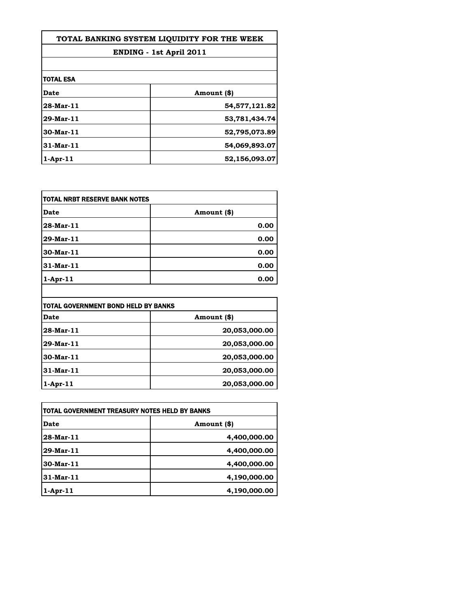| TOTAL BANKING SYSTEM LIOUIDITY FOR THE WEEK<br><b>ENDING - 1st April 2011</b> |               |
|-------------------------------------------------------------------------------|---------------|
|                                                                               |               |
| <b>TOTAL ESA</b>                                                              |               |
| Date                                                                          | Amount (\$)   |
| 28-Mar-11                                                                     | 54,577,121.82 |
| 29-Mar-11                                                                     | 53,781,434.74 |
| 30-Mar-11                                                                     | 52,795,073.89 |
| 31-Mar-11                                                                     | 54,069,893.07 |
| 1-Apr-11                                                                      | 52,156,093.07 |

| <b>TOTAL NRBT RESERVE BANK NOTES</b> |             |
|--------------------------------------|-------------|
| <b>Date</b>                          | Amount (\$) |
| 28-Mar-11                            | 0.00        |
| 29-Mar-11                            | 0.00        |
| 30-Mar-11                            | 0.00        |
| 31-Mar-11                            | 0.00        |
| $1-Apr-11$                           | 0.00        |

| TOTAL GOVERNMENT BOND HELD BY BANKS |               |
|-------------------------------------|---------------|
| Date                                | Amount (\$)   |
| 28-Mar-11                           | 20,053,000.00 |
| 29-Mar-11                           | 20,053,000.00 |
| 30-Mar-11                           | 20,053,000.00 |
| $31$ -Mar-11                        | 20,053,000.00 |
| $1-Apr-11$                          | 20,053,000.00 |

 $\begin{array}{c} \hline \end{array}$ 

| TOTAL GOVERNMENT TREASURY NOTES HELD BY BANKS |              |
|-----------------------------------------------|--------------|
| Date                                          | Amount (\$)  |
| 28-Mar-11                                     | 4,400,000.00 |
| 29-Mar-11                                     | 4,400,000.00 |
| 30-Mar-11                                     | 4,400,000.00 |
| 31-Mar-11                                     | 4,190,000.00 |
| $1-Apr-11$                                    | 4,190,000.00 |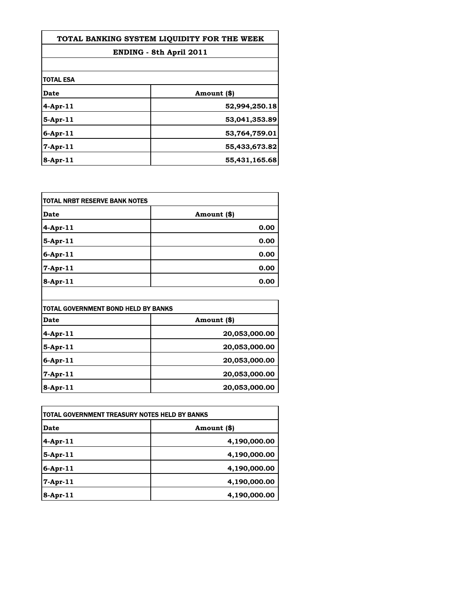| TOTAL BANKING SYSTEM LIQUIDITY FOR THE WEEK |               |
|---------------------------------------------|---------------|
| ENDING - 8th April 2011                     |               |
|                                             |               |
| itotal esa                                  |               |
| <b>Date</b>                                 | Amount (\$)   |
| $4$ -Apr-11                                 | 52,994,250.18 |
| 5-Apr-11                                    | 53,041,353.89 |
| $6$ -Apr-11                                 | 53,764,759.01 |
| 7-Apr-11                                    | 55,433,673.82 |
| $8-Apr-11$                                  | 55,431,165.68 |

| <b>TOTAL NRBT RESERVE BANK NOTES</b> |             |
|--------------------------------------|-------------|
| <b>Date</b>                          | Amount (\$) |
| 4-Apr-11                             | 0.00        |
| $5-Apr-11$                           | 0.00        |
| $6 - Apr - 11$                       | 0.00        |
| 7-Apr-11                             | 0.00        |
| 8-Apr-11                             | 0.00        |

| TOTAL GOVERNMENT BOND HELD BY BANKS |               |
|-------------------------------------|---------------|
| Date                                | Amount (\$)   |
| 4-Apr-11                            | 20,053,000.00 |
| $5$ -Apr-11                         | 20,053,000.00 |
| 6-Apr-11                            | 20,053,000.00 |
| 7-Apr-11                            | 20,053,000.00 |
| 8-Apr-11                            | 20,053,000.00 |

| TOTAL GOVERNMENT TREASURY NOTES HELD BY BANKS |              |
|-----------------------------------------------|--------------|
| Date                                          | Amount (\$)  |
| $4$ -Apr-11                                   | 4,190,000.00 |
| $5$ -Apr-11                                   | 4,190,000.00 |
| $6$ -Apr-11                                   | 4,190,000.00 |
| $7$ -Apr-11                                   | 4,190,000.00 |
| $8 -$ Apr $-11$                               | 4,190,000.00 |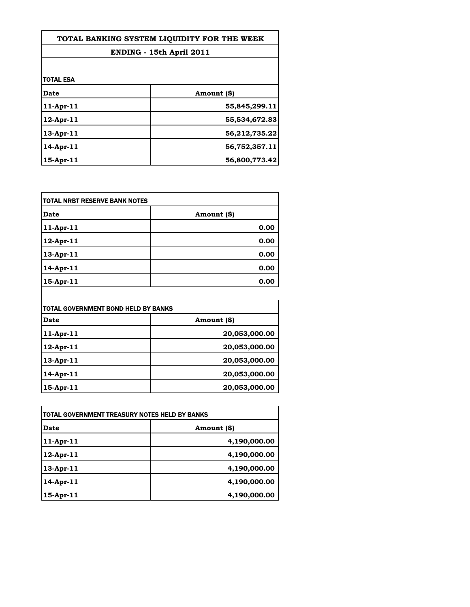| TOTAL BANKING SYSTEM LIOUIDITY FOR THE WEEK |               |
|---------------------------------------------|---------------|
| ENDING - 15th April 2011                    |               |
|                                             |               |
| <b>TOTAL ESA</b>                            |               |
| <b>Date</b>                                 | Amount (\$)   |
| $11$ -Apr-11                                | 55,845,299.11 |
| $12$ -Apr- $11$                             | 55,534,672.83 |
| 13-Apr-11                                   | 56,212,735.22 |
| $14$ -Apr- $11$                             | 56,752,357.11 |
| $15$ -Apr- $11$                             | 56,800,773.42 |

| <b>Date</b>     | Amount (\$) |
|-----------------|-------------|
| $11-Apr-11$     | 0.00        |
| 12-Apr-11       | 0.00        |
| 13-Apr-11       | 0.00        |
| 14-Apr-11       | 0.00        |
| $15$ -Apr- $11$ | 0.00        |

| TOTAL GOVERNMENT BOND HELD BY BANKS |               |
|-------------------------------------|---------------|
| Date                                | Amount (\$)   |
| $11-Apr-11$                         | 20,053,000.00 |
| 12-Apr-11                           | 20,053,000.00 |
| 13-Apr-11                           | 20,053,000.00 |
| $14$ -Apr-11                        | 20,053,000.00 |
| $15-Apr-11$                         | 20,053,000.00 |

| TOTAL GOVERNMENT TREASURY NOTES HELD BY BANKS |              |
|-----------------------------------------------|--------------|
| Date                                          | Amount (\$)  |
| $11-Apr-11$                                   | 4,190,000.00 |
| $12$ -Apr-11                                  | 4,190,000.00 |
| $13-Apr-11$                                   | 4,190,000.00 |
| 14-Apr-11                                     | 4,190,000.00 |
| $15-Apr-11$                                   | 4,190,000.00 |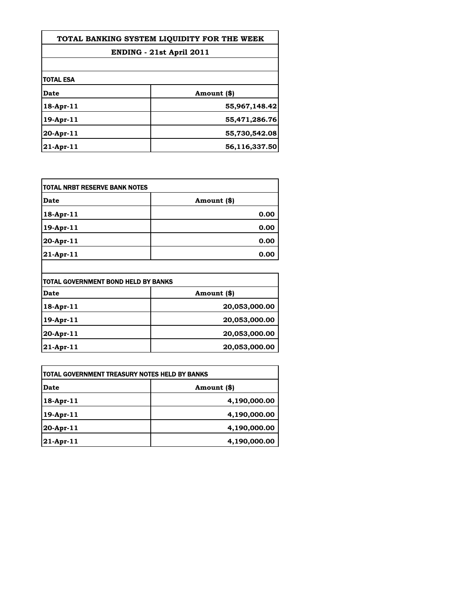| TOTAL BANKING SYSTEM LIQUIDITY FOR THE WEEK |               |
|---------------------------------------------|---------------|
| <b>ENDING - 21st April 2011</b>             |               |
|                                             |               |
| <b>TOTAL ESA</b>                            |               |
| Date                                        | Amount (\$)   |
| $18$ -Apr- $11$                             | 55,967,148.42 |
| $19$ -Apr- $11$                             | 55,471,286.76 |
| $20-Apr-11$                                 | 55,730,542.08 |
| $21-Apr-11$                                 | 56,116,337.50 |

| Date      | Amount (\$) |
|-----------|-------------|
| 18-Apr-11 | 0.00        |
| 19-Apr-11 | 0.00        |
| 20-Apr-11 | 0.00        |
| 21-Apr-11 | 0.00        |

| TOTAL GOVERNMENT BOND HELD BY BANKS |               |
|-------------------------------------|---------------|
| <b>Date</b>                         | Amount (\$)   |
| 18-Apr-11                           | 20,053,000.00 |
| 19-Apr-11                           | 20,053,000.00 |
| 20-Apr-11                           | 20,053,000.00 |
| 21-Apr-11                           | 20,053,000.00 |

| <b> TOTAL GOVERNMENT TREASURY NOTES HELD BY BANKS</b> |              |
|-------------------------------------------------------|--------------|
| Date                                                  | Amount (\$)  |
| $18-Apr-11$                                           | 4,190,000.00 |
| $19-Apr-11$                                           | 4,190,000.00 |
| 20-Apr-11                                             | 4,190,000.00 |
| $ 21-Apr-11 $                                         | 4,190,000.00 |